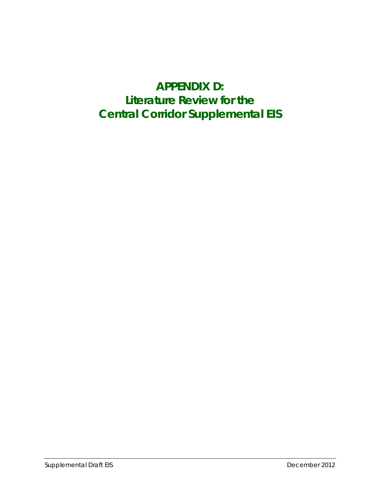# **APPENDIX D: Literature Review for the Central Corridor Supplemental EIS**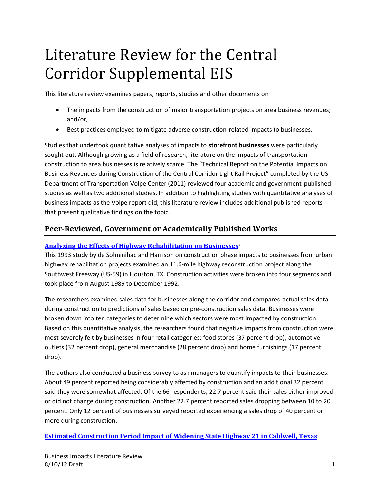# Literature Review for the Central Corridor Supplemental EIS

This literature review examines papers, reports, studies and other documents on

- The impacts from the construction of major transportation projects on area business revenues; and/or,
- Best practices employed to mitigate adverse construction-related impacts to businesses.

Studies that undertook quantitative analyses of impacts to **storefront businesses** were particularly sought out. Although growing as a field of research, literature on the impacts of transportation construction to area businesses is relatively scarce. The "Technical Report on the Potential Impacts on Business Revenues during Construction of the Central Corridor Light Rail Project" completed by the US Department of Transportation Volpe Center (2011) reviewed four academic and government-published studies as well as two additional studies. In addition to highlighting studies with quantitative analyses of business impacts as the Volpe report did, this literature review includes additional published reports that present qualitative findings on the topic.

# **Peer-Reviewed, Government or Academically Published Works**

#### **[Analyzing the Effects of Highway Rehabilitation on Businessesi](http://www.metrocouncil.org/transportation/ccorridor/EIS/SEA/HoustonTXHighwayImpactStudy.pdf)**

This 1993 study by de Solminihac and Harrison on construction phase impacts to businesses from urban highway rehabilitation projects examined an 11.6-mile highway reconstruction project along the Southwest Freeway (US-59) in Houston, TX. Construction activities were broken into four segments and took place from August 1989 to December 1992.

The researchers examined sales data for businesses along the corridor and compared actual sales data during construction to predictions of sales based on pre-construction sales data. Businesses were broken down into ten categories to determine which sectors were most impacted by construction. Based on this quantitative analysis, the researchers found that negative impacts from construction were most severely felt by businesses in four retail categories: food stores (37 percent drop), automotive outlets (32 percent drop), general merchandise (28 percent drop) and home furnishings (17 percent drop).

The authors also conducted a business survey to ask managers to quantify impacts to their businesses. About 49 percent reported being considerably affected by construction and an additional 32 percent said they were somewhat affected. Of the 66 respondents, 22.7 percent said their sales either improved or did not change during construction. Another 22.7 percent reported sales dropping between 10 to 20 percent. Only 12 percent of businesses surveyed reported experiencing a sales drop of 40 percent or more during construction.

**[Estimated Construction Period Impact of Widening State Highway 21 in Caldwell, Texasi](http://www.metrocouncil.org/transportation/ccorridor/EIS/SEA/Wildenthal_Bluffington.pdf)**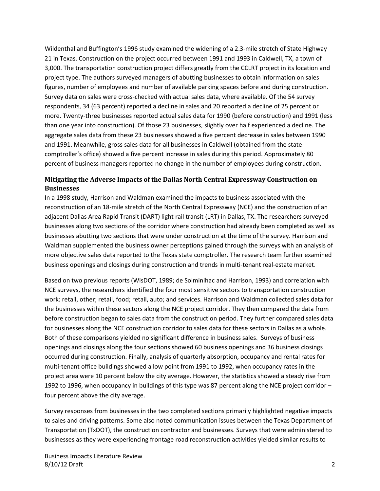Wildenthal and Buffington's 1996 study examined the widening of a 2.3-mile stretch of State Highway 21 in Texas. Construction on the project occurred between 1991 and 1993 in Caldwell, TX, a town of 3,000. The transportation construction project differs greatly from the CCLRT project in its location and project type. The authors surveyed managers of abutting businesses to obtain information on sales figures, number of employees and number of available parking spaces before and during construction. Survey data on sales were cross-checked with actual sales data, where available. Of the 54 survey respondents, 34 (63 percent) reported a decline in sales and 20 reported a decline of 25 percent or more. Twenty-three businesses reported actual sales data for 1990 (before construction) and 1991 (less than one year into construction). Of those 23 businesses, slightly over half experienced a decline. The aggregate sales data from these 23 businesses showed a five percent decrease in sales between 1990 and 1991. Meanwhile, gross sales data for all businesses in Caldwell (obtained from the state comptroller's office) showed a five percent increase in sales during this period. Approximately 80 percent of business managers reported no change in the number of employees during construction.

#### **Mitigating the Adverse Impacts of the Dallas North Central Expressway Construction on Businesses**

In a 1998 study, Harrison and Waldman examined the impacts to business associated with the reconstruction of an 18-mile stretch of the North Central Expressway (NCE) and the construction of an adjacent Dallas Area Rapid Transit (DART) light rail transit (LRT) in Dallas, TX. The researchers surveyed businesses along two sections of the corridor where construction had already been completed as well as businesses abutting two sections that were under construction at the time of the survey. Harrison and Waldman supplemented the business owner perceptions gained through the surveys with an analysis of more objective sales data reported to the Texas state comptroller. The research team further examined business openings and closings during construction and trends in multi-tenant real-estate market.

Based on two previous reports (WisDOT, 1989; de Solminihac and Harrison, 1993) and correlation with NCE surveys, the researchers identified the four most sensitive sectors to transportation construction work: retail, other; retail, food; retail, auto; and services. Harrison and Waldman collected sales data for the businesses within these sectors along the NCE project corridor. They then compared the data from before construction began to sales data from the construction period. They further compared sales data for businesses along the NCE construction corridor to sales data for these sectors in Dallas as a whole. Both of these comparisons yielded no significant difference in business sales. Surveys of business openings and closings along the four sections showed 60 business openings and 36 business closings occurred during construction. Finally, analysis of quarterly absorption, occupancy and rental rates for multi-tenant office buildings showed a low point from 1991 to 1992, when occupancy rates in the project area were 10 percent below the city average. However, the statistics showed a steady rise from 1992 to 1996, when occupancy in buildings of this type was 87 percent along the NCE project corridor – four percent above the city average.

Survey responses from businesses in the two completed sections primarily highlighted negative impacts to sales and driving patterns. Some also noted communication issues between the Texas Department of Transportation (TxDOT), the construction contractor and businesses. Surveys that were administered to businesses as they were experiencing frontage road reconstruction activities yielded similar results to

Business Impacts Literature Review 8/10/12 Draft 2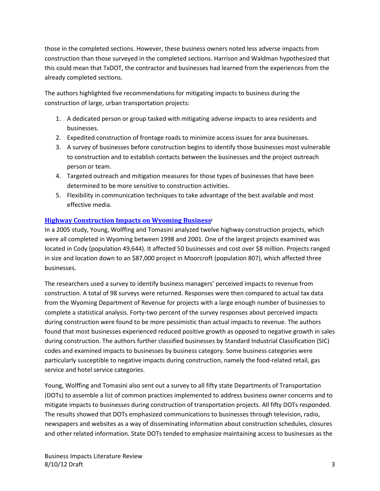those in the completed sections. However, these business owners noted less adverse impacts from construction than those surveyed in the completed sections. Harrison and Waldman hypothesized that this could mean that TxDOT, the contractor and businesses had learned from the experiences from the already completed sections.

The authors highlighted five recommendations for mitigating impacts to business during the construction of large, urban transportation projects:

- 1. A dedicated person or group tasked with mitigating adverse impacts to area residents and businesses.
- 2. Expedited construction of frontage roads to minimize access issues for area businesses.
- 3. A survey of businesses before construction begins to identify those businesses most vulnerable to construction and to establish contacts between the businesses and the project outreach person or team.
- 4. Targeted outreach and mitigation measures for those types of businesses that have been determined to be more sensitive to construction activities.
- 5. Flexibility in communication techniques to take advantage of the best available and most effective media.

#### **[Highway Construction Impacts on Wyoming Businessi](http://www.metrocouncil.org/transportation/ccorridor/EIS/SEA/Young_Wolffing_Tomasini.pdf)**

In a 2005 study, Young, Wolffing and Tomasini analyzed twelve highway construction projects, which were all completed in Wyoming between 1998 and 2001. One of the largest projects examined was located in Cody (population 49,644). It affected 50 businesses and cost over \$8 million. Projects ranged in size and location down to an \$87,000 project in Moorcroft (population 807), which affected three businesses.

The researchers used a survey to identify business managers' perceived impacts to revenue from construction. A total of 98 surveys were returned. Responses were then compared to actual tax data from the Wyoming Department of Revenue for projects with a large enough number of businesses to complete a statistical analysis. Forty-two percent of the survey responses about perceived impacts during construction were found to be more pessimistic than actual impacts to revenue. The authors found that most businesses experienced reduced positive growth as opposed to negative growth in sales during construction. The authors further classified businesses by Standard Industrial Classification (SIC) codes and examined impacts to businesses by business category. Some business categories were particularly susceptible to negative impacts during construction, namely the food-related retail, gas service and hotel service categories.

Young, Wolffing and Tomasini also sent out a survey to all fifty state Departments of Transportation (DOTs) to assemble a list of common practices implemented to address business owner concerns and to mitigate impacts to businesses during construction of transportation projects. All fifty DOTs responded. The results showed that DOTs emphasized communications to businesses through television, radio, newspapers and websites as a way of disseminating information about construction schedules, closures and other related information. State DOTs tended to emphasize maintaining access to businesses as the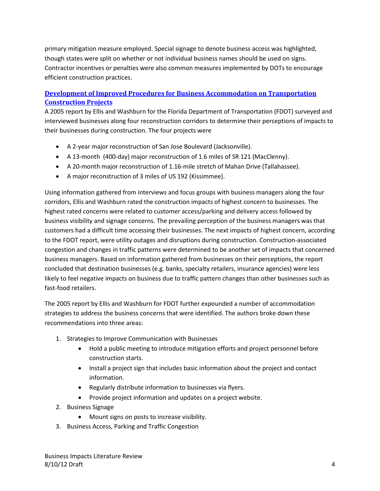primary mitigation measure employed. Special signage to denote business access was highlighted, though states were split on whether or not individual business names should be used on signs. Contractor incentives or penalties were also common measures implemented by DOTs to encourage efficient construction practices.

# **Development of Improved Procedures [for Business Accommodation on Transportation](http://www.dot.state.fl.us/research-center/Completed_Proj/Summary_CN/FDOT_BC354_66_rpt.pdf)  [Construction Projects](http://www.dot.state.fl.us/research-center/Completed_Proj/Summary_CN/FDOT_BC354_66_rpt.pdf)**

A 2005 report by Ellis and Washburn for the Florida Department of Transportation (FDOT) surveyed and interviewed businesses along four reconstruction corridors to determine their perceptions of impacts to their businesses during construction. The four projects were

- A 2-year major reconstruction of San Jose Boulevard (Jacksonville).
- A 13-month (400-day) major reconstruction of 1.6 miles of SR 121 (MacClenny).
- A 20-month major reconstruction of 1.16-mile stretch of Mahan Drive (Tallahassee).
- A major reconstruction of 3 miles of US 192 (Kissimmee).

Using information gathered from interviews and focus groups with business managers along the four corridors, Ellis and Washburn rated the construction impacts of highest concern to businesses. The highest rated concerns were related to customer access/parking and delivery access followed by business visibility and signage concerns. The prevailing perception of the business managers was that customers had a difficult time accessing their businesses. The next impacts of highest concern, according to the FDOT report, were utility outages and disruptions during construction. Construction-associated congestion and changes in traffic patterns were determined to be another set of impacts that concerned business managers. Based on information gathered from businesses on their perceptions, the report concluded that destination businesses (e.g. banks, specialty retailers, insurance agencies) were less likely to feel negative impacts on business due to traffic pattern changes than other businesses such as fast-food retailers.

The 2005 report by Ellis and Washburn for FDOT further expounded a number of accommodation strategies to address the business concerns that were identified. The authors broke down these recommendations into three areas:

- 1. Strategies to Improve Communication with Businesses
	- Hold a public meeting to introduce mitigation efforts and project personnel before construction starts.
	- Install a project sign that includes basic information about the project and contact information.
	- Regularly distribute information to businesses via flyers.
	- Provide project information and updates on a project website.
- 2. Business Signage
	- Mount signs on posts to increase visibility.
- 3. Business Access, Parking and Traffic Congestion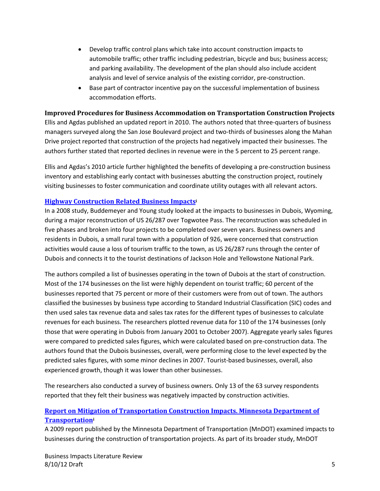- Develop traffic control plans which take into account construction impacts to automobile traffic; other traffic including pedestrian, bicycle and bus; business access; and parking availability. The development of the plan should also include accident analysis and level of service analysis of the existing corridor, pre-construction.
- Base part of contractor incentive pay on the successful implementation of business accommodation efforts.

#### **Improved Procedures for Business Accommodation on Transportation Construction Projects**

Ellis and Agdas published an updated report in 2010. The authors noted that three-quarters of business managers surveyed along the San Jose Boulevard project and two-thirds of businesses along the Mahan Drive project reported that construction of the projects had negatively impacted their businesses. The authors further stated that reported declines in revenue were in the 5 percent to 25 percent range.

Ellis and Agdas's 2010 article further highlighted the benefits of developing a pre-construction business inventory and establishing early contact with businesses abutting the construction project, routinely visiting businesses to foster communication and coordinate utility outages with all relevant actors.

#### **[Highway Construction Related Business Impactsi](http://www.metrocouncil.org/transportation/ccorridor/EIS/SEA/Buddemeyer_Young_VanderGiessen.pdf)**

In a 2008 study, Buddemeyer and Young study looked at the impacts to businesses in Dubois, Wyoming, during a major reconstruction of US 26/287 over Togwotee Pass. The reconstruction was scheduled in five phases and broken into four projects to be completed over seven years. Business owners and residents in Dubois, a small rural town with a population of 926, were concerned that construction activities would cause a loss of tourism traffic to the town, as US 26/287 runs through the center of Dubois and connects it to the tourist destinations of Jackson Hole and Yellowstone National Park.

The authors compiled a list of businesses operating in the town of Dubois at the start of construction. Most of the 174 businesses on the list were highly dependent on tourist traffic; 60 percent of the businesses reported that 75 percent or more of their customers were from out of town. The authors classified the businesses by business type according to Standard Industrial Classification (SIC) codes and then used sales tax revenue data and sales tax rates for the different types of businesses to calculate revenues for each business. The researchers plotted revenue data for 110 of the 174 businesses (only those that were operating in Dubois from January 2001 to October 2007). Aggregate yearly sales figures were compared to predicted sales figures, which were calculated based on pre-construction data. The authors found that the Dubois businesses, overall, were performing close to the level expected by the predicted sales figures, with some minor declines in 2007. Tourist-based businesses, overall, also experienced growth, though it was lower than other businesses.

The researchers also conducted a survey of business owners. Only 13 of the 63 survey respondents reported that they felt their business was negatively impacted by construction activities.

# **[Report on Mitigation of Transportation Construction Impacts. Minnesota Department of](http://www.dot.state.mn.us/businessimpacts/pdfs/businessimpacts-report-feb2009.pdf)  [Transportationi](http://www.dot.state.mn.us/businessimpacts/pdfs/businessimpacts-report-feb2009.pdf)**

A 2009 report published by the Minnesota Department of Transportation (MnDOT) examined impacts to businesses during the construction of transportation projects. As part of its broader study, MnDOT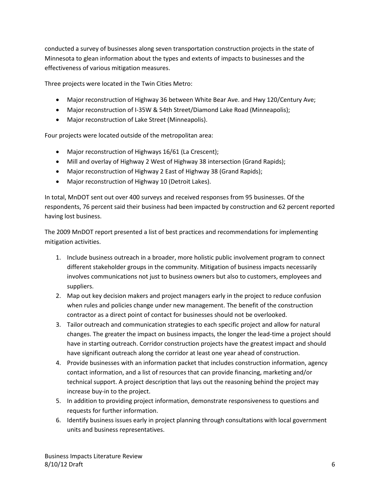conducted a survey of businesses along seven transportation construction projects in the state of Minnesota to glean information about the types and extents of impacts to businesses and the effectiveness of various mitigation measures.

Three projects were located in the Twin Cities Metro:

- Major reconstruction of Highway 36 between White Bear Ave. and Hwy 120/Century Ave;
- Major reconstruction of I-35W & 54th Street/Diamond Lake Road (Minneapolis);
- Major reconstruction of Lake Street (Minneapolis).

Four projects were located outside of the metropolitan area:

- Major reconstruction of Highways 16/61 (La Crescent);
- Mill and overlay of Highway 2 West of Highway 38 intersection (Grand Rapids);
- Major reconstruction of Highway 2 East of Highway 38 (Grand Rapids);
- Major reconstruction of Highway 10 (Detroit Lakes).

In total, MnDOT sent out over 400 surveys and received responses from 95 businesses. Of the respondents, 76 percent said their business had been impacted by construction and 62 percent reported having lost business.

The 2009 MnDOT report presented a list of best practices and recommendations for implementing mitigation activities.

- 1. Include business outreach in a broader, more holistic public involvement program to connect different stakeholder groups in the community. Mitigation of business impacts necessarily involves communications not just to business owners but also to customers, employees and suppliers.
- 2. Map out key decision makers and project managers early in the project to reduce confusion when rules and policies change under new management. The benefit of the construction contractor as a direct point of contact for businesses should not be overlooked.
- 3. Tailor outreach and communication strategies to each specific project and allow for natural changes. The greater the impact on business impacts, the longer the lead-time a project should have in starting outreach. Corridor construction projects have the greatest impact and should have significant outreach along the corridor at least one year ahead of construction.
- 4. Provide businesses with an information packet that includes construction information, agency contact information, and a list of resources that can provide financing, marketing and/or technical support. A project description that lays out the reasoning behind the project may increase buy-in to the project.
- 5. In addition to providing project information, demonstrate responsiveness to questions and requests for further information.
- 6. Identify business issues early in project planning through consultations with local government units and business representatives.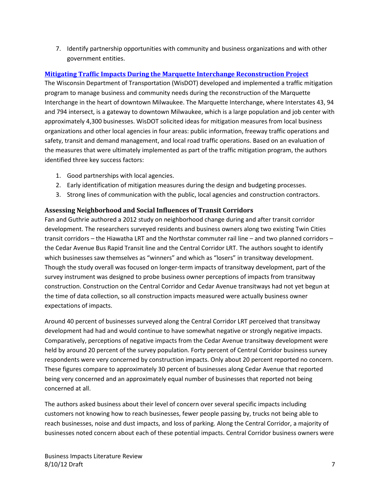7. Identify partnership opportunities with community and business organizations and with other government entities.

## **[Mitigating Traffic Impacts During the Marquette Interchange Reconstruction Project](http://www.ite.org/membersonly/itejournal/pdf/2006/JB06DA38.pdf)**

The Wisconsin Department of Transportation (WisDOT) developed and implemented a traffic mitigation program to manage business and community needs during the reconstruction of the Marquette Interchange in the heart of downtown Milwaukee. The Marquette Interchange, where Interstates 43, 94 and 794 intersect, is a gateway to downtown Milwaukee, which is a large population and job center with approximately 4,300 businesses. WisDOT solicited ideas for mitigation measures from local business organizations and other local agencies in four areas: public information, freeway traffic operations and safety, transit and demand management, and local road traffic operations. Based on an evaluation of the measures that were ultimately implemented as part of the traffic mitigation program, the authors identified three key success factors:

- 1. Good partnerships with local agencies.
- 2. Early identification of mitigation measures during the design and budgeting processes.
- 3. Strong lines of communication with the public, local agencies and construction contractors.

#### **Assessing Neighborhood and Social Influences of Transit Corridors**

Fan and Guthrie authored a 2012 study on neighborhood change during and after transit corridor development. The researchers surveyed residents and business owners along two existing Twin Cities transit corridors – the Hiawatha LRT and the Northstar commuter rail line – and two planned corridors – the Cedar Avenue Bus Rapid Transit line and the Central Corridor LRT. The authors sought to identify which businesses saw themselves as "winners" and which as "losers" in transitway development. Though the study overall was focused on longer-term impacts of transitway development, part of the survey instrument was designed to probe business owner perceptions of impacts from transitway construction. Construction on the Central Corridor and Cedar Avenue transitways had not yet begun at the time of data collection, so all construction impacts measured were actually business owner expectations of impacts.

Around 40 percent of businesses surveyed along the Central Corridor LRT perceived that transitway development had had and would continue to have somewhat negative or strongly negative impacts. Comparatively, perceptions of negative impacts from the Cedar Avenue transitway development were held by around 20 percent of the survey population. Forty percent of Central Corridor business survey respondents were very concerned by construction impacts. Only about 20 percent reported no concern. These figures compare to approximately 30 percent of businesses along Cedar Avenue that reported being very concerned and an approximately equal number of businesses that reported not being concerned at all.

The authors asked business about their level of concern over several specific impacts including customers not knowing how to reach businesses, fewer people passing by, trucks not being able to reach businesses, noise and dust impacts, and loss of parking. Along the Central Corridor, a majority of businesses noted concern about each of these potential impacts. Central Corridor business owners were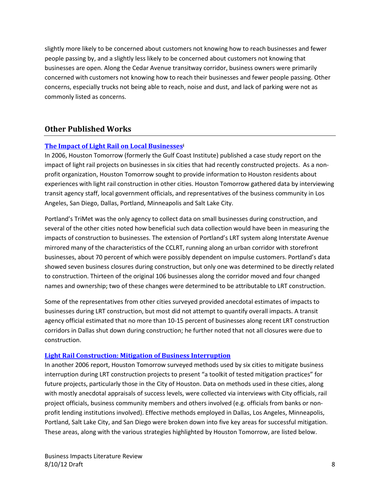slightly more likely to be concerned about customers not knowing how to reach businesses and fewer people passing by, and a slightly less likely to be concerned about customers not knowing that businesses are open. Along the Cedar Avenue transitway corridor, business owners were primarily concerned with customers not knowing how to reach their businesses and fewer people passing. Other concerns, especially trucks not being able to reach, noise and dust, and lack of parking were not as commonly listed as concerns.

# **Other Published Works**

#### **[The Impact of Light Rail on Local Businessesi](http://www.gulfcoastinstitute.org/university/LightRail_BusinessImpact.pdf)**

In 2006, Houston Tomorrow (formerly the Gulf Coast Institute) published a case study report on the impact of light rail projects on businesses in six cities that had recently constructed projects. As a nonprofit organization, Houston Tomorrow sought to provide information to Houston residents about experiences with light rail construction in other cities. Houston Tomorrow gathered data by interviewing transit agency staff, local government officials, and representatives of the business community in Los Angeles, San Diego, Dallas, Portland, Minneapolis and Salt Lake City.

Portland's TriMet was the only agency to collect data on small businesses during construction, and several of the other cities noted how beneficial such data collection would have been in measuring the impacts of construction to businesses. The extension of Portland's LRT system along Interstate Avenue mirrored many of the characteristics of the CCLRT, running along an urban corridor with storefront businesses, about 70 percent of which were possibly dependent on impulse customers. Portland's data showed seven business closures during construction, but only one was determined to be directly related to construction. Thirteen of the original 106 businesses along the corridor moved and four changed names and ownership; two of these changes were determined to be attributable to LRT construction.

Some of the representatives from other cities surveyed provided anecdotal estimates of impacts to businesses during LRT construction, but most did not attempt to quantify overall impacts. A transit agency official estimated that no more than 10-15 percent of businesses along recent LRT construction corridors in Dallas shut down during construction; he further noted that not all closures were due to construction.

#### **[Light Rail Construction: Mitigation of Business Interruption](http://www.gulfcoastinstitute.org/university/LightRail_Mitigation.pdf)**

In another 2006 report, Houston Tomorrow surveyed methods used by six cities to mitigate business interruption during LRT construction projects to present "a toolkit of tested mitigation practices" for future projects, particularly those in the City of Houston. Data on methods used in these cities, along with mostly anecdotal appraisals of success levels, were collected via interviews with City officials, rail project officials, business community members and others involved (e.g. officials from banks or nonprofit lending institutions involved). Effective methods employed in Dallas, Los Angeles, Minneapolis, Portland, Salt Lake City, and San Diego were broken down into five key areas for successful mitigation. These areas, along with the various strategies highlighted by Houston Tomorrow, are listed below.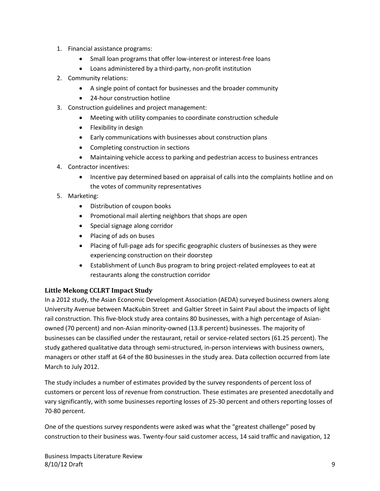- 1. Financial assistance programs:
	- Small loan programs that offer low-interest or interest-free loans
	- Loans administered by a third-party, non-profit institution
- 2. Community relations:
	- A single point of contact for businesses and the broader community
	- 24-hour construction hotline
- 3. Construction guidelines and project management:
	- Meeting with utility companies to coordinate construction schedule
	- Flexibility in design
	- Early communications with businesses about construction plans
	- Completing construction in sections
	- Maintaining vehicle access to parking and pedestrian access to business entrances
- 4. Contractor incentives:
	- Incentive pay determined based on appraisal of calls into the complaints hotline and on the votes of community representatives
- 5. Marketing:
	- Distribution of coupon books
	- Promotional mail alerting neighbors that shops are open
	- Special signage along corridor
	- Placing of ads on buses
	- Placing of full-page ads for specific geographic clusters of businesses as they were experiencing construction on their doorstep
	- Establishment of Lunch Bus program to bring project-related employees to eat at restaurants along the construction corridor

#### **Little Mekong CCLRT Impact Study**

In a 2012 study, the Asian Economic Development Association (AEDA) surveyed business owners along University Avenue between MacKubin Street and Galtier Street in Saint Paul about the impacts of light rail construction. This five-block study area contains 80 businesses, with a high percentage of Asianowned (70 percent) and non-Asian minority-owned (13.8 percent) businesses. The majority of businesses can be classified under the restaurant, retail or service-related sectors (61.25 percent). The study gathered qualitative data through semi-structured, in-person interviews with business owners, managers or other staff at 64 of the 80 businesses in the study area. Data collection occurred from late March to July 2012.

The study includes a number of estimates provided by the survey respondents of percent loss of customers or percent loss of revenue from construction. These estimates are presented anecdotally and vary significantly, with some businesses reporting losses of 25-30 percent and others reporting losses of 70-80 percent.

One of the questions survey respondents were asked was what the "greatest challenge" posed by construction to their business was. Twenty-four said customer access, 14 said traffic and navigation, 12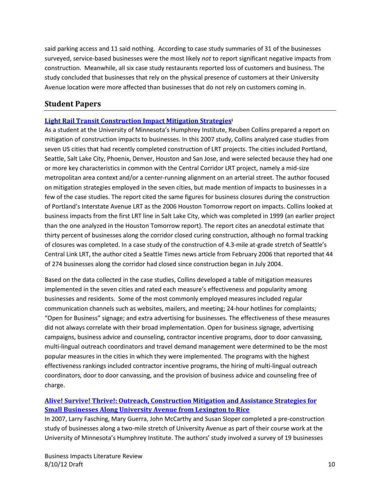said parking access and 11 said nothing. According to case study summaries of 31 of the businesses surveyed, service-based businesses were the most likely *not* to report significant negative impacts from construction. Meanwhile, all six case study restaurants reported loss of customers and business. The study concluded that businesses that rely on the physical presence of customers at their University Avenue location were more affected than businesses that do not rely on customers coming in.

# **Student Papers**

#### **[Light Rail Transit Construction Impact Mitigation Strategiesi](http://nexus.umn.edu/Theses/ReubenCollins_ProfessionalPaper.pdf)**

As a student at the University of Minnesota's Humphrey Institute, Reuben Collins prepared a report on mitigation of construction impacts to businesses. In this 2007 study, Collins analyzed case studies from seven US cities that had recently completed construction of LRT projects. The cities included Portland, Seattle, Salt Lake City, Phoenix, Denver, Houston and San Jose, and were selected because they had one or more key characteristics in common with the Central Corridor LRT project, namely a mid-size metropolitan area context and/or a center-running alignment on an arterial street. The author focused on mitigation strategies employed in the seven cities, but made mention of impacts to businesses in a few of the case studies. The report cited the same figures for business closures during the construction of Portland's Interstate Avenue LRT as the 2006 Houston Tomorrow report on impacts. Collins looked at business impacts from the first LRT line in Salt Lake City, which was completed in 1999 (an earlier project than the one analyzed in the Houston Tomorrow report). The report cites an anecdotal estimate that thirty percent of businesses along the corridor closed curing construction, although no formal tracking of closures was completed. In a case study of the construction of 4.3-mile at-grade stretch of Seattle's Central Link LRT, the author cited a Seattle Times news article from February 2006 that reported that 44 of 274 businesses along the corridor had closed since construction began in July 2004.

Based on the data collected in the case studies, Collins developed a table of mitigation measures implemented in the seven cities and rated each measure's effectiveness and popularity among businesses and residents. Some of the most commonly employed measures included regular communication channels such as websites, mailers, and meeting; 24-hour hotlines for complaints; "Open for Business" signage; and extra advertising for businesses. The effectiveness of these measures did not always correlate with their broad implementation. Open for business signage, advertising campaigns, business advice and counseling, contractor incentive programs, door to door canvassing, multi-lingual outreach coordinators and travel demand management were determined to be the most popular measures in the cities in which they were implemented. The programs with the highest effectiveness rankings included contractor incentive programs, the hiring of multi-lingual outreach coordinators, door to door canvassing, and the provision of business advice and counseling free of charge.

# **[Alive! Survive! Thrive!: Outreach, Construction Mitigation and Assistance Strategies for](https://wiki.umn.edu/pub/TOD_Capstone_29th_Ave/WebHome/Lex-RiceCapstone.pdf)  [Small Businesses Along University Avenue from Lexington to Rice](https://wiki.umn.edu/pub/TOD_Capstone_29th_Ave/WebHome/Lex-RiceCapstone.pdf)**

In 2007, Larry Fasching, Mary Guerra, John McCarthy and Susan Sloper completed a pre-construction study of businesses along a two-mile stretch of University Avenue as part of their course work at the University of Minnesota's Humphrey Institute. The authors' study involved a survey of 19 businesses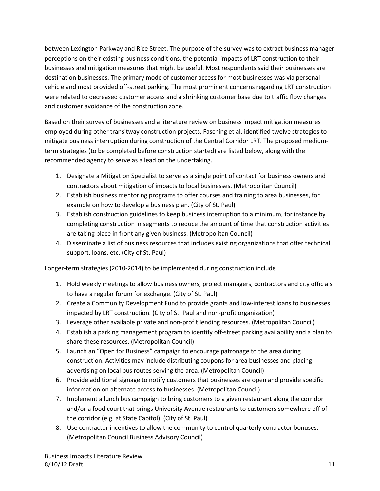between Lexington Parkway and Rice Street. The purpose of the survey was to extract business manager perceptions on their existing business conditions, the potential impacts of LRT construction to their businesses and mitigation measures that might be useful. Most respondents said their businesses are destination businesses. The primary mode of customer access for most businesses was via personal vehicle and most provided off-street parking. The most prominent concerns regarding LRT construction were related to decreased customer access and a shrinking customer base due to traffic flow changes and customer avoidance of the construction zone.

Based on their survey of businesses and a literature review on business impact mitigation measures employed during other transitway construction projects, Fasching et al. identified twelve strategies to mitigate business interruption during construction of the Central Corridor LRT. The proposed mediumterm strategies (to be completed before construction started) are listed below, along with the recommended agency to serve as a lead on the undertaking.

- 1. Designate a Mitigation Specialist to serve as a single point of contact for business owners and contractors about mitigation of impacts to local businesses. (Metropolitan Council)
- 2. Establish business mentoring programs to offer courses and training to area businesses, for example on how to develop a business plan. (City of St. Paul)
- 3. Establish construction guidelines to keep business interruption to a minimum, for instance by completing construction in segments to reduce the amount of time that construction activities are taking place in front any given business. (Metropolitan Council)
- 4. Disseminate a list of business resources that includes existing organizations that offer technical support, loans, etc. (City of St. Paul)

Longer-term strategies (2010-2014) to be implemented during construction include

- 1. Hold weekly meetings to allow business owners, project managers, contractors and city officials to have a regular forum for exchange. (City of St. Paul)
- 2. Create a Community Development Fund to provide grants and low-interest loans to businesses impacted by LRT construction. (City of St. Paul and non-profit organization)
- 3. Leverage other available private and non-profit lending resources. (Metropolitan Council)
- 4. Establish a parking management program to identify off-street parking availability and a plan to share these resources. (Metropolitan Council)
- 5. Launch an "Open for Business" campaign to encourage patronage to the area during construction. Activities may include distributing coupons for area businesses and placing advertising on local bus routes serving the area. (Metropolitan Council)
- 6. Provide additional signage to notify customers that businesses are open and provide specific information on alternate access to businesses. (Metropolitan Council)
- 7. Implement a lunch bus campaign to bring customers to a given restaurant along the corridor and/or a food court that brings University Avenue restaurants to customers somewhere off of the corridor (e.g. at State Capitol). (City of St. Paul)
- 8. Use contractor incentives to allow the community to control quarterly contractor bonuses. (Metropolitan Council Business Advisory Council)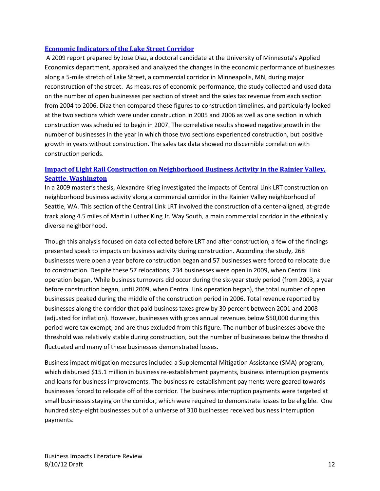#### **[Economic Indicators of the Lake Street Corridor](http://www.cura.umn.edu/sites/cura.advantagelabs.com/files/publications/NPCR-1303.pdf)**

A 2009 report prepared by Jose Diaz, a doctoral candidate at the University of Minnesota's Applied Economics department, appraised and analyzed the changes in the economic performance of businesses along a 5-mile stretch of Lake Street, a commercial corridor in Minneapolis, MN, during major reconstruction of the street. As measures of economic performance, the study collected and used data on the number of open businesses per section of street and the sales tax revenue from each section from 2004 to 2006. Diaz then compared these figures to construction timelines, and particularly looked at the two sections which were under construction in 2005 and 2006 as well as one section in which construction was scheduled to begin in 2007. The correlative results showed negative growth in the number of businesses in the year in which those two sections experienced construction, but positive growth in years without construction. The sales tax data showed no discernible correlation with construction periods.

#### **[Impact of Light Rail Construction on Neighborhood Business Activity in the Rainier Valley,](http://www.rvcdf.org/documents/Impact_of_Light_Rail_09.pdf)  [Seattle, Washington](http://www.rvcdf.org/documents/Impact_of_Light_Rail_09.pdf)**

In a 2009 master's thesis, Alexandre Krieg investigated the impacts of Central Link LRT construction on neighborhood business activity along a commercial corridor in the Rainier Valley neighborhood of Seattle, WA. This section of the Central Link LRT involved the construction of a center-aligned, at-grade track along 4.5 miles of Martin Luther King Jr. Way South, a main commercial corridor in the ethnically diverse neighborhood.

Though this analysis focused on data collected before LRT and after construction, a few of the findings presented speak to impacts on business activity during construction. According the study, 268 businesses were open a year before construction began and 57 businesses were forced to relocate due to construction. Despite these 57 relocations, 234 businesses were open in 2009, when Central Link operation began. While business turnovers did occur during the six-year study period (from 2003, a year before construction began, until 2009, when Central Link operation began), the total number of open businesses peaked during the middle of the construction period in 2006. Total revenue reported by businesses along the corridor that paid business taxes grew by 30 percent between 2001 and 2008 (adjusted for inflation). However, businesses with gross annual revenues below \$50,000 during this period were tax exempt, and are thus excluded from this figure. The number of businesses above the threshold was relatively stable during construction, but the number of businesses below the threshold fluctuated and many of these businesses demonstrated losses.

Business impact mitigation measures included a Supplemental Mitigation Assistance (SMA) program, which disbursed \$15.1 million in business re-establishment payments, business interruption payments and loans for business improvements. The business re-establishment payments were geared towards businesses forced to relocate off of the corridor. The business interruption payments were targeted at small businesses staying on the corridor, which were required to demonstrate losses to be eligible. One hundred sixty-eight businesses out of a universe of 310 businesses received business interruption payments.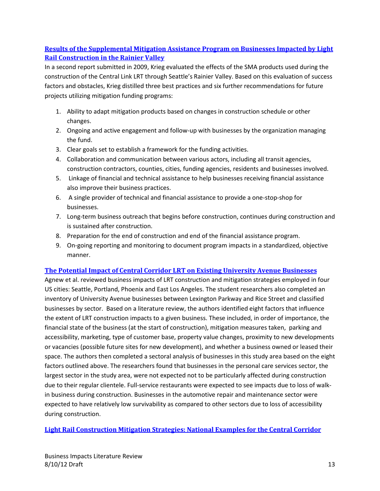# **[Results of the Supplemental Mitigation Assistance Program on Businesses Impacted by Light](http://www.reconnectingamerica.org/assets/Uploads/2009ResultsSupplementalMitigationProgram.pdf)  [Rail Construction in the Rainier Valley](http://www.reconnectingamerica.org/assets/Uploads/2009ResultsSupplementalMitigationProgram.pdf)**

In a second report submitted in 2009, Krieg evaluated the effects of the SMA products used during the construction of the Central Link LRT through Seattle's Rainier Valley. Based on this evaluation of success factors and obstacles, Krieg distilled three best practices and six further recommendations for future projects utilizing mitigation funding programs:

- 1. Ability to adapt mitigation products based on changes in construction schedule or other changes.
- 2. Ongoing and active engagement and follow-up with businesses by the organization managing the fund.
- 3. Clear goals set to establish a framework for the funding activities.
- 4. Collaboration and communication between various actors, including all transit agencies, construction contractors, counties, cities, funding agencies, residents and businesses involved.
- 5. Linkage of financial and technical assistance to help businesses receiving financial assistance also improve their business practices.
- 6. A single provider of technical and financial assistance to provide a one-stop-shop for businesses.
- 7. Long-term business outreach that begins before construction, continues during construction and is sustained after construction.
- 8. Preparation for the end of construction and end of the financial assistance program.
- 9. On-going reporting and monitoring to document program impacts in a standardized, objective manner.

#### **[The Potential Impact of Central Corridor](http://conservancy.umn.edu/bitstream/90555/1/The%20Potential%20Impact%20of%20Central%20Corridor%20LRT.pdf) LRT on Existing University Avenue Businesses**

Agnew et al. reviewed business impacts of LRT construction and mitigation strategies employed in four US cities: Seattle, Portland, Phoenix and East Los Angeles. The student researchers also completed an inventory of University Avenue businesses between Lexington Parkway and Rice Street and classified businesses by sector. Based on a literature review, the authors identified eight factors that influence the extent of LRT construction impacts to a given business. These included, in order of importance, the financial state of the business (at the start of construction), mitigation measures taken, parking and accessibility, marketing, type of customer base, property value changes, proximity to new developments or vacancies (possible future sites for new development), and whether a business owned or leased their space. The authors then completed a sectoral analysis of businesses in this study area based on the eight factors outlined above. The researchers found that businesses in the personal care services sector, the largest sector in the study area, were not expected not to be particularly affected during construction due to their regular clientele. Full-service restaurants were expected to see impacts due to loss of walkin business during construction. Businesses in the automotive repair and maintenance sector were expected to have relatively low survivability as compared to other sectors due to loss of accessibility during construction.

**[Light Rail Construction Mitigation Strategies: National Examples for the Central Corridor](http://universityavenuebiz.com/documents/ConstructionMitigationSurvey-finaldraft.pdf)**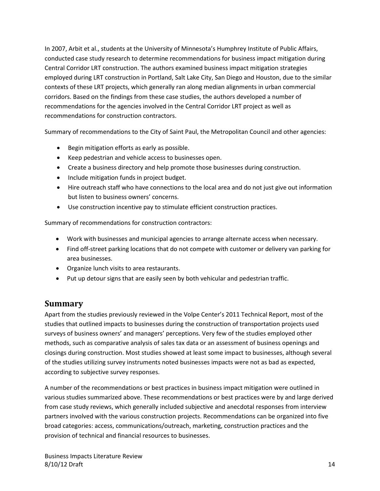In 2007, Arbit et al., students at the University of Minnesota's Humphrey Institute of Public Affairs, conducted case study research to determine recommendations for business impact mitigation during Central Corridor LRT construction. The authors examined business impact mitigation strategies employed during LRT construction in Portland, Salt Lake City, San Diego and Houston, due to the similar contexts of these LRT projects, which generally ran along median alignments in urban commercial corridors. Based on the findings from these case studies, the authors developed a number of recommendations for the agencies involved in the Central Corridor LRT project as well as recommendations for construction contractors.

Summary of recommendations to the City of Saint Paul, the Metropolitan Council and other agencies:

- Begin mitigation efforts as early as possible.
- Keep pedestrian and vehicle access to businesses open.
- Create a business directory and help promote those businesses during construction.
- Include mitigation funds in project budget.
- Hire outreach staff who have connections to the local area and do not just give out information but listen to business owners' concerns.
- Use construction incentive pay to stimulate efficient construction practices.

Summary of recommendations for construction contractors:

- Work with businesses and municipal agencies to arrange alternate access when necessary.
- Find off-street parking locations that do not compete with customer or delivery van parking for area businesses.
- Organize lunch visits to area restaurants.
- Put up detour signs that are easily seen by both vehicular and pedestrian traffic.

# **Summary**

Apart from the studies previously reviewed in the Volpe Center's 2011 Technical Report, most of the studies that outlined impacts to businesses during the construction of transportation projects used surveys of business owners' and managers' perceptions. Very few of the studies employed other methods, such as comparative analysis of sales tax data or an assessment of business openings and closings during construction. Most studies showed at least some impact to businesses, although several of the studies utilizing survey instruments noted businesses impacts were not as bad as expected, according to subjective survey responses.

A number of the recommendations or best practices in business impact mitigation were outlined in various studies summarized above. These recommendations or best practices were by and large derived from case study reviews, which generally included subjective and anecdotal responses from interview partners involved with the various construction projects. Recommendations can be organized into five broad categories: access, communications/outreach, marketing, construction practices and the provision of technical and financial resources to businesses.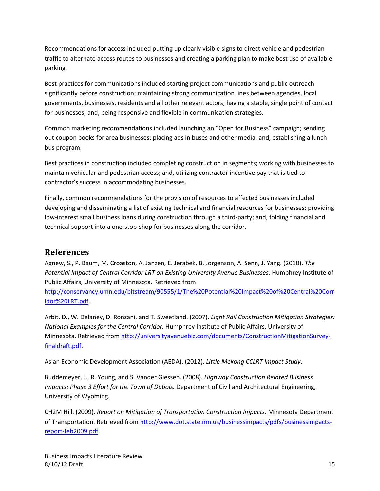Recommendations for access included putting up clearly visible signs to direct vehicle and pedestrian traffic to alternate access routes to businesses and creating a parking plan to make best use of available parking.

Best practices for communications included starting project communications and public outreach significantly before construction; maintaining strong communication lines between agencies, local governments, businesses, residents and all other relevant actors; having a stable, single point of contact for businesses; and, being responsive and flexible in communication strategies.

Common marketing recommendations included launching an "Open for Business" campaign; sending out coupon books for area businesses; placing ads in buses and other media; and, establishing a lunch bus program.

Best practices in construction included completing construction in segments; working with businesses to maintain vehicular and pedestrian access; and, utilizing contractor incentive pay that is tied to contractor's success in accommodating businesses.

Finally, common recommendations for the provision of resources to affected businesses included developing and disseminating a list of existing technical and financial resources for businesses; providing low-interest small business loans during construction through a third-party; and, folding financial and technical support into a one-stop-shop for businesses along the corridor.

# **References**

Agnew, S., P. Baum, M. Croaston, A. Janzen, E. Jerabek, B. Jorgenson, A. Senn, J. Yang. (2010). *The*  Potential Impact of Central Corridor LRT on Existing University Avenue Businesses. Humphrey Institute of Public Affairs, University of Minnesota. Retrieved from

[http://conservancy.umn.edu/bitstream/90555/1/The%20Potential%20Impact%20of%20Central%20Corr](http://conservancy.umn.edu/bitstream/90555/1/The%20Potential%20Impact%20of%20Central%20Corridor%20LRT.pdf) [idor%20LRT.pdf.](http://conservancy.umn.edu/bitstream/90555/1/The%20Potential%20Impact%20of%20Central%20Corridor%20LRT.pdf)

Arbit, D., W. Delaney, D. Ronzani, and T. Sweetland. (2007). *Light Rail Construction Mitigation Strategies: National Examples for the Central Corridor.* Humphrey Institute of Public Affairs, University of Minnesota. Retrieved from [http://universityavenuebiz.com/documents/ConstructionMitigationSurvey](http://universityavenuebiz.com/documents/ConstructionMitigationSurvey-finaldraft.pdf)[finaldraft.pdf.](http://universityavenuebiz.com/documents/ConstructionMitigationSurvey-finaldraft.pdf)

Asian Economic Development Association (AEDA). (2012). *Little Mekong CCLRT Impact Study*.

Buddemeyer, J., R. Young, and S. Vander Giessen. (2008). *Highway Construction Related Business Impacts: Phase 3 Effort for the Town of Dubois.* Department of Civil and Architectural Engineering, University of Wyoming.

CH2M Hill. (2009). *Report on Mitigation of Transportation Construction Impacts.* Minnesota Department of Transportation. Retrieved fro[m http://www.dot.state.mn.us/businessimpacts/pdfs/businessimpacts](http://www.dot.state.mn.us/businessimpacts/pdfs/businessimpacts-report-feb2009.pdf)[report-feb2009.pdf.](http://www.dot.state.mn.us/businessimpacts/pdfs/businessimpacts-report-feb2009.pdf)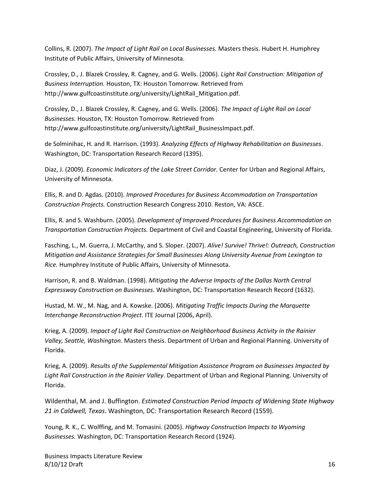Collins, R. (2007). *The Impact of Light Rail on Local Businesses.* Masters thesis. Hubert H. Humphrey Institute of Public Affairs, University of Minnesota.

Crossley, D., J. Blazek Crossley, R. Cagney, and G. Wells. (2006). *Light Rail Construction: Mitigation of Business Interruption.* Houston, TX: Houston Tomorrow. Retrieved from http://www.gulfcoastinstitute.org/university/LightRail Mitigation.pdf.

Crossley, D., J. Blazek Crossley, R. Cagney, and G. Wells. (2006). *The Impact of Light Rail on Local Businesses.* Houston, TX: Houston Tomorrow. Retrieved from http://www.gulfcoastinstitute.org/university/LightRail\_BusinessImpact.pdf.

de Solminihac, H. and R. Harrison. (1993). *Analyzing Effects of Highway Rehabilitation on Businesses*. Washington, DC: Transportation Research Record (1395).

Diaz, J. (2009). *Economic Indicators of the Lake Street Corridor.* Center for Urban and Regional Affairs, University of Minnesota.

Ellis, R. and D. Agdas. (2010). *Improved Procedures for Business Accommodation on Transportation Construction Projects.* Construction Research Congress 2010. Reston, VA: ASCE.

Ellis, R. and S. Washburn. (2005). *Development of Improved Procedures for Business Accommodation on Transportation Construction Projects.* Department of Civil and Coastal Engineering, University of Florida.

Fasching, L., M. Guerra, J. McCarthy, and S. Sloper. (2007). *Alive! Survive! Thrive!: Outreach, Construction Mitigation and Assistance Strategies for Small Businesses Along University Avenue from Lexington to Rice.* Humphrey Institute of Public Affairs, University of Minnesota.

Harrison, R. and B. Waldman. (1998). *Mitigating the Adverse Impacts of the Dallas North Central Expressway Construction on Businesses*. Washington, DC: Transportation Research Record (1632).

Hustad, M. W., M. Nag, and A. Kowske. (2006). *Mitigating Traffic Impacts During the Marquette Interchange Reconstruction Project.* ITE Journal (2006, April).

Krieg, A. (2009). *Impact of Light Rail Construction on Neighborhood Business Activity in the Rainier Valley, Seattle, Washington*. Masters thesis. Department of Urban and Regional Planning. University of Florida.

Krieg, A. (2009). *Results of the Supplemental Mitigation Assistance Program on Businesses Impacted by Light Rail Construction in the Rainier Valley*. Department of Urban and Regional Planning. University of Florida.

Wildenthal, M. and J. Buffington. *Estimated Construction Period Impacts of Widening State Highway 21 in Caldwell, Texas*. Washington, DC: Transportation Research Record (1559).

Young, R. K., C. Wolffing, and M. Tomasini. (2005). *Highway Construction Impacts to Wyoming Businesses.* Washington, DC: Transportation Research Record (1924).